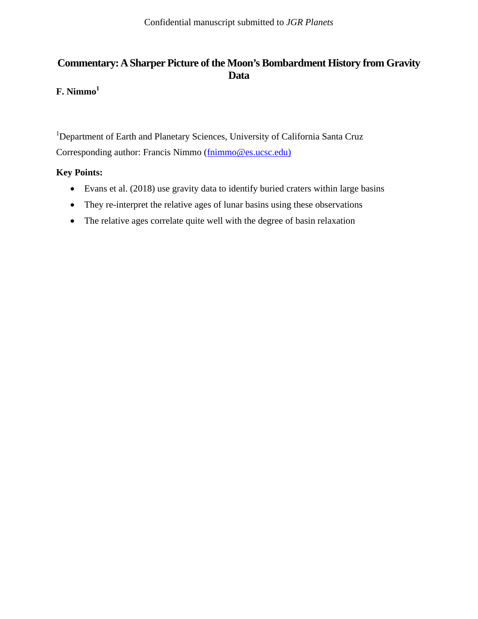## **Commentary: A Sharper Picture of the Moon's Bombardment History from Gravity Data**

# **F. Nimmo1**

<sup>1</sup>Department of Earth and Planetary Sciences, University of California Santa Cruz Corresponding author: Francis Nimmo (fnimmo@es.ucsc.edu)

### **Key Points:**

- Evans et al. (2018) use gravity data to identify buried craters within large basins
- They re-interpret the relative ages of lunar basins using these observations
- The relative ages correlate quite well with the degree of basin relaxation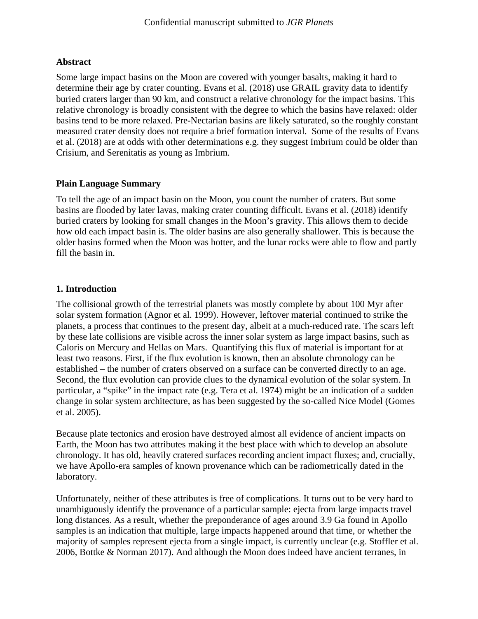#### **Abstract**

Some large impact basins on the Moon are covered with younger basalts, making it hard to determine their age by crater counting. Evans et al. (2018) use GRAIL gravity data to identify buried craters larger than 90 km, and construct a relative chronology for the impact basins. This relative chronology is broadly consistent with the degree to which the basins have relaxed: older basins tend to be more relaxed. Pre-Nectarian basins are likely saturated, so the roughly constant measured crater density does not require a brief formation interval. Some of the results of Evans et al. (2018) are at odds with other determinations e.g. they suggest Imbrium could be older than Crisium, and Serenitatis as young as Imbrium.

#### **Plain Language Summary**

To tell the age of an impact basin on the Moon, you count the number of craters. But some basins are flooded by later lavas, making crater counting difficult. Evans et al. (2018) identify buried craters by looking for small changes in the Moon's gravity. This allows them to decide how old each impact basin is. The older basins are also generally shallower. This is because the older basins formed when the Moon was hotter, and the lunar rocks were able to flow and partly fill the basin in.

#### **1. Introduction**

The collisional growth of the terrestrial planets was mostly complete by about 100 Myr after solar system formation (Agnor et al. 1999). However, leftover material continued to strike the planets, a process that continues to the present day, albeit at a much-reduced rate. The scars left by these late collisions are visible across the inner solar system as large impact basins, such as Caloris on Mercury and Hellas on Mars. Quantifying this flux of material is important for at least two reasons. First, if the flux evolution is known, then an absolute chronology can be established – the number of craters observed on a surface can be converted directly to an age. Second, the flux evolution can provide clues to the dynamical evolution of the solar system. In particular, a "spike" in the impact rate (e.g. Tera et al. 1974) might be an indication of a sudden change in solar system architecture, as has been suggested by the so-called Nice Model (Gomes et al. 2005).

Because plate tectonics and erosion have destroyed almost all evidence of ancient impacts on Earth, the Moon has two attributes making it the best place with which to develop an absolute chronology. It has old, heavily cratered surfaces recording ancient impact fluxes; and, crucially, we have Apollo-era samples of known provenance which can be radiometrically dated in the laboratory.

Unfortunately, neither of these attributes is free of complications. It turns out to be very hard to unambiguously identify the provenance of a particular sample: ejecta from large impacts travel long distances. As a result, whether the preponderance of ages around 3.9 Ga found in Apollo samples is an indication that multiple, large impacts happened around that time, or whether the majority of samples represent ejecta from a single impact, is currently unclear (e.g. Stoffler et al. 2006, Bottke & Norman 2017). And although the Moon does indeed have ancient terranes, in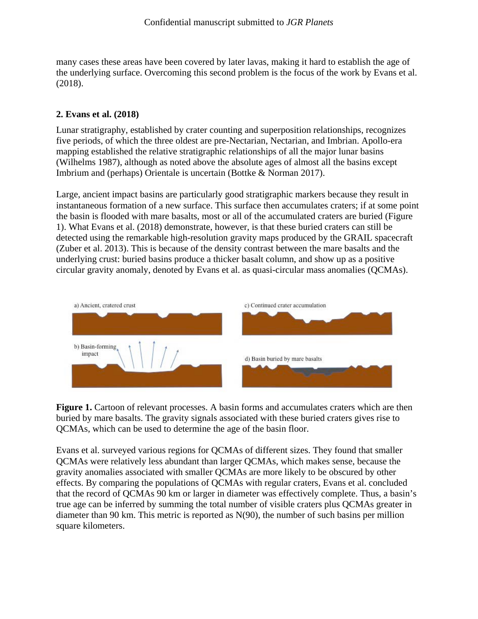many cases these areas have been covered by later lavas, making it hard to establish the age of the underlying surface. Overcoming this second problem is the focus of the work by Evans et al. (2018).

### **2. Evans et al. (2018)**

Lunar stratigraphy, established by crater counting and superposition relationships, recognizes five periods, of which the three oldest are pre-Nectarian, Nectarian, and Imbrian. Apollo-era mapping established the relative stratigraphic relationships of all the major lunar basins (Wilhelms 1987), although as noted above the absolute ages of almost all the basins except Imbrium and (perhaps) Orientale is uncertain (Bottke & Norman 2017).

Large, ancient impact basins are particularly good stratigraphic markers because they result in instantaneous formation of a new surface. This surface then accumulates craters; if at some point the basin is flooded with mare basalts, most or all of the accumulated craters are buried (Figure 1). What Evans et al. (2018) demonstrate, however, is that these buried craters can still be detected using the remarkable high-resolution gravity maps produced by the GRAIL spacecraft (Zuber et al. 2013). This is because of the density contrast between the mare basalts and the underlying crust: buried basins produce a thicker basalt column, and show up as a positive circular gravity anomaly, denoted by Evans et al. as quasi-circular mass anomalies (QCMAs).



**Figure 1.** Cartoon of relevant processes. A basin forms and accumulates craters which are then buried by mare basalts. The gravity signals associated with these buried craters gives rise to QCMAs, which can be used to determine the age of the basin floor.

Evans et al. surveyed various regions for QCMAs of different sizes. They found that smaller QCMAs were relatively less abundant than larger QCMAs, which makes sense, because the gravity anomalies associated with smaller QCMAs are more likely to be obscured by other effects. By comparing the populations of QCMAs with regular craters, Evans et al. concluded that the record of QCMAs 90 km or larger in diameter was effectively complete. Thus, a basin's true age can be inferred by summing the total number of visible craters plus QCMAs greater in diameter than 90 km. This metric is reported as N(90), the number of such basins per million square kilometers.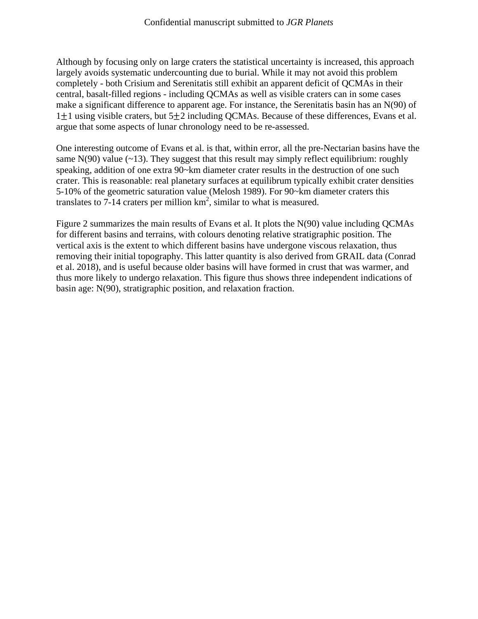Although by focusing only on large craters the statistical uncertainty is increased, this approach largely avoids systematic undercounting due to burial. While it may not avoid this problem completely - both Crisium and Serenitatis still exhibit an apparent deficit of QCMAs in their central, basalt-filled regions - including QCMAs as well as visible craters can in some cases make a significant difference to apparent age. For instance, the Serenitatis basin has an N(90) of  $1\pm1$  using visible craters, but  $5\pm2$  including QCMAs. Because of these differences, Evans et al. argue that some aspects of lunar chronology need to be re-assessed.

One interesting outcome of Evans et al. is that, within error, all the pre-Nectarian basins have the same  $N(90)$  value (~13). They suggest that this result may simply reflect equilibrium: roughly speaking, addition of one extra 90~km diameter crater results in the destruction of one such crater. This is reasonable: real planetary surfaces at equilibrum typically exhibit crater densities 5-10% of the geometric saturation value (Melosh 1989). For 90~km diameter craters this translates to 7-14 craters per million  $km^2$ , similar to what is measured.

Figure 2 summarizes the main results of Evans et al. It plots the N(90) value including QCMAs for different basins and terrains, with colours denoting relative stratigraphic position. The vertical axis is the extent to which different basins have undergone viscous relaxation, thus removing their initial topography. This latter quantity is also derived from GRAIL data (Conrad et al. 2018), and is useful because older basins will have formed in crust that was warmer, and thus more likely to undergo relaxation. This figure thus shows three independent indications of basin age: N(90), stratigraphic position, and relaxation fraction.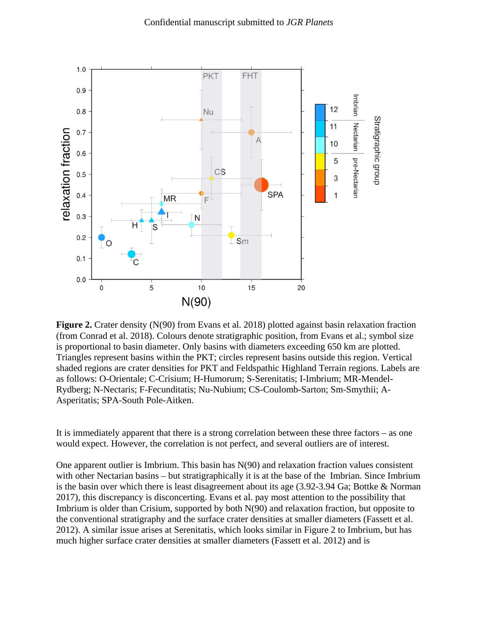

**Figure 2.** Crater density (N(90) from Evans et al. 2018) plotted against basin relaxation fraction (from Conrad et al. 2018). Colours denote stratigraphic position, from Evans et al.; symbol size is proportional to basin diameter. Only basins with diameters exceeding 650 km are plotted. Triangles represent basins within the PKT; circles represent basins outside this region. Vertical shaded regions are crater densities for PKT and Feldspathic Highland Terrain regions. Labels are as follows: O-Orientale; C-Crisium; H-Humorum; S-Serenitatis; I-Imbrium; MR-Mendel-Rydberg; N-Nectaris; F-Fecunditatis; Nu-Nubium; CS-Coulomb-Sarton; Sm-Smythii; A-Asperitatis; SPA-South Pole-Aitken.

It is immediately apparent that there is a strong correlation between these three factors – as one would expect. However, the correlation is not perfect, and several outliers are of interest.

One apparent outlier is Imbrium. This basin has N(90) and relaxation fraction values consistent with other Nectarian basins – but stratigraphically it is at the base of the Imbrian. Since Imbrium is the basin over which there is least disagreement about its age (3.92-3.94 Ga; Bottke & Norman 2017), this discrepancy is disconcerting. Evans et al. pay most attention to the possibility that Imbrium is older than Crisium, supported by both N(90) and relaxation fraction, but opposite to the conventional stratigraphy and the surface crater densities at smaller diameters (Fassett et al. 2012). A similar issue arises at Serenitatis, which looks similar in Figure 2 to Imbrium, but has much higher surface crater densities at smaller diameters (Fassett et al. 2012) and is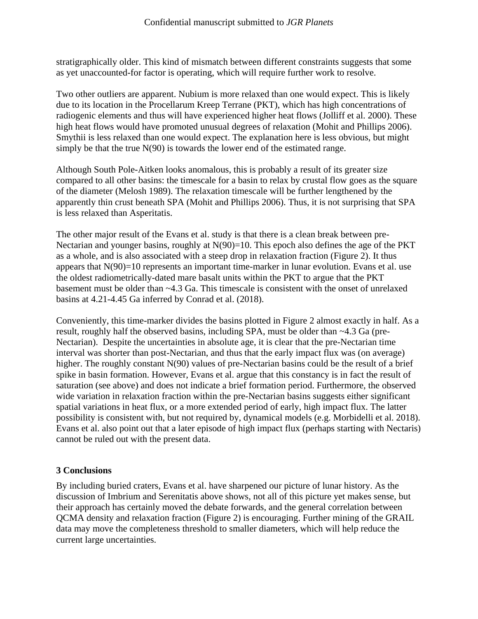stratigraphically older. This kind of mismatch between different constraints suggests that some as yet unaccounted-for factor is operating, which will require further work to resolve.

Two other outliers are apparent. Nubium is more relaxed than one would expect. This is likely due to its location in the Procellarum Kreep Terrane (PKT), which has high concentrations of radiogenic elements and thus will have experienced higher heat flows (Jolliff et al. 2000). These high heat flows would have promoted unusual degrees of relaxation (Mohit and Phillips 2006). Smythii is less relaxed than one would expect. The explanation here is less obvious, but might simply be that the true  $N(90)$  is towards the lower end of the estimated range.

Although South Pole-Aitken looks anomalous, this is probably a result of its greater size compared to all other basins: the timescale for a basin to relax by crustal flow goes as the square of the diameter (Melosh 1989). The relaxation timescale will be further lengthened by the apparently thin crust beneath SPA (Mohit and Phillips 2006). Thus, it is not surprising that SPA is less relaxed than Asperitatis.

The other major result of the Evans et al. study is that there is a clean break between pre-Nectarian and younger basins, roughly at  $N(90)=10$ . This epoch also defines the age of the PKT as a whole, and is also associated with a steep drop in relaxation fraction (Figure 2). It thus appears that  $N(90)=10$  represents an important time-marker in lunar evolution. Evans et al. use the oldest radiometrically-dated mare basalt units within the PKT to argue that the PKT basement must be older than ~4.3 Ga. This timescale is consistent with the onset of unrelaxed basins at 4.21-4.45 Ga inferred by Conrad et al. (2018).

Conveniently, this time-marker divides the basins plotted in Figure 2 almost exactly in half. As a result, roughly half the observed basins, including SPA, must be older than ~4.3 Ga (pre-Nectarian). Despite the uncertainties in absolute age, it is clear that the pre-Nectarian time interval was shorter than post-Nectarian, and thus that the early impact flux was (on average) higher. The roughly constant N(90) values of pre-Nectarian basins could be the result of a brief spike in basin formation. However, Evans et al. argue that this constancy is in fact the result of saturation (see above) and does not indicate a brief formation period. Furthermore, the observed wide variation in relaxation fraction within the pre-Nectarian basins suggests either significant spatial variations in heat flux, or a more extended period of early, high impact flux. The latter possibility is consistent with, but not required by, dynamical models (e.g. Morbidelli et al. 2018). Evans et al. also point out that a later episode of high impact flux (perhaps starting with Nectaris) cannot be ruled out with the present data.

## **3 Conclusions**

By including buried craters, Evans et al. have sharpened our picture of lunar history. As the discussion of Imbrium and Serenitatis above shows, not all of this picture yet makes sense, but their approach has certainly moved the debate forwards, and the general correlation between QCMA density and relaxation fraction (Figure 2) is encouraging. Further mining of the GRAIL data may move the completeness threshold to smaller diameters, which will help reduce the current large uncertainties.